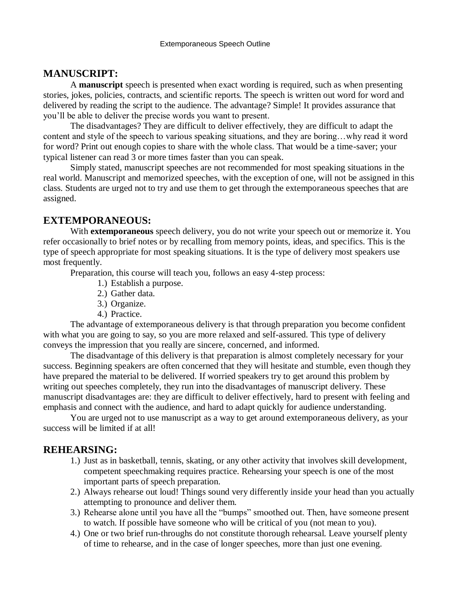# **MANUSCRIPT:**

A **manuscript** speech is presented when exact wording is required, such as when presenting stories, jokes, policies, contracts, and scientific reports. The speech is written out word for word and delivered by reading the script to the audience. The advantage? Simple! It provides assurance that you'll be able to deliver the precise words you want to present.

The disadvantages? They are difficult to deliver effectively, they are difficult to adapt the content and style of the speech to various speaking situations, and they are boring…why read it word for word? Print out enough copies to share with the whole class. That would be a time-saver; your typical listener can read 3 or more times faster than you can speak.

Simply stated, manuscript speeches are not recommended for most speaking situations in the real world. Manuscript and memorized speeches, with the exception of one, will not be assigned in this class. Students are urged not to try and use them to get through the extemporaneous speeches that are assigned.

## **EXTEMPORANEOUS:**

With **extemporaneous** speech delivery, you do not write your speech out or memorize it. You refer occasionally to brief notes or by recalling from memory points, ideas, and specifics. This is the type of speech appropriate for most speaking situations. It is the type of delivery most speakers use most frequently.

Preparation, this course will teach you, follows an easy 4-step process:

- 1.) Establish a purpose.
- 2.) Gather data.
- 3.) Organize.
- 4.) Practice.

The advantage of extemporaneous delivery is that through preparation you become confident with what you are going to say, so you are more relaxed and self-assured. This type of delivery conveys the impression that you really are sincere, concerned, and informed.

The disadvantage of this delivery is that preparation is almost completely necessary for your success. Beginning speakers are often concerned that they will hesitate and stumble, even though they have prepared the material to be delivered. If worried speakers try to get around this problem by writing out speeches completely, they run into the disadvantages of manuscript delivery. These manuscript disadvantages are: they are difficult to deliver effectively, hard to present with feeling and emphasis and connect with the audience, and hard to adapt quickly for audience understanding.

You are urged not to use manuscript as a way to get around extemporaneous delivery, as your success will be limited if at all!

#### **REHEARSING:**

- 1.) Just as in basketball, tennis, skating, or any other activity that involves skill development, competent speechmaking requires practice. Rehearsing your speech is one of the most important parts of speech preparation.
- 2.) Always rehearse out loud! Things sound very differently inside your head than you actually attempting to pronounce and deliver them.
- 3.) Rehearse alone until you have all the "bumps" smoothed out. Then, have someone present to watch. If possible have someone who will be critical of you (not mean to you).
- 4.) One or two brief run-throughs do not constitute thorough rehearsal. Leave yourself plenty of time to rehearse, and in the case of longer speeches, more than just one evening.